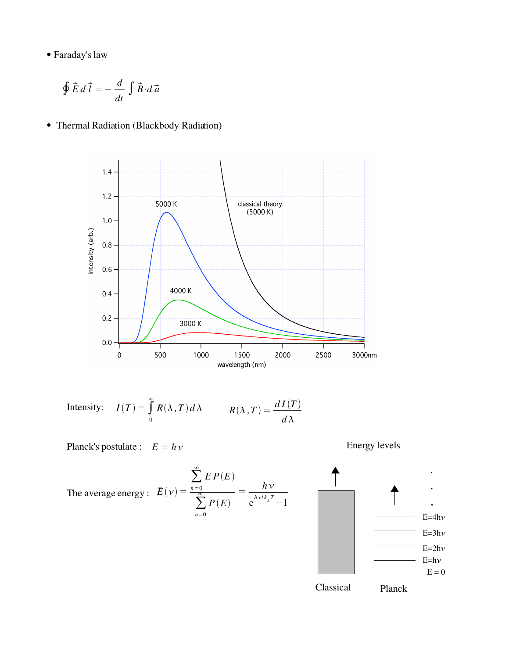Faraday'slaw

$$
\oint \vec{E} \, d\,\vec{l} = -\frac{d}{dt} \int \vec{B} \cdot d\,\vec{a}
$$

Thermal Radiation (Blackbody Radiation)



Intensity: 
$$
I(T) = \int_{0}^{\infty} R(\lambda, T) d\lambda
$$
  $R(\lambda, T) = \frac{dI(T)}{d\lambda}$ 

Planck's postulate :  $E = h v$ 

Energy levels

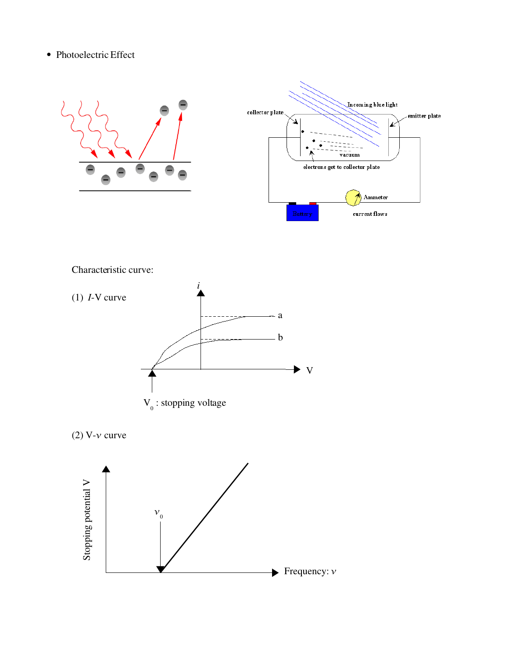## • Photoelectric Effect





Characteristic curve:





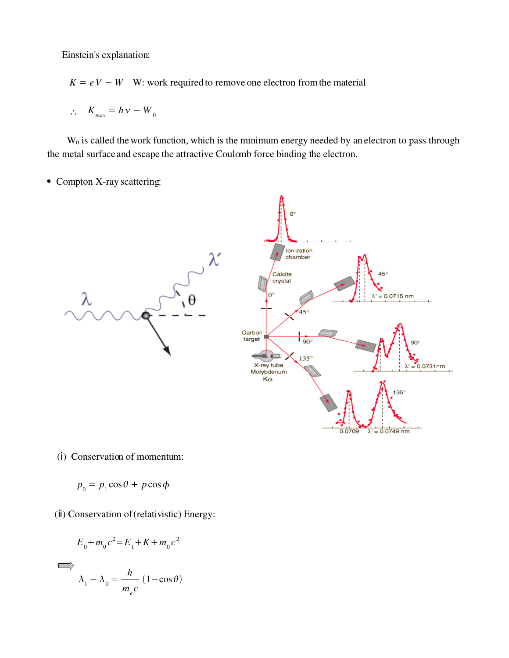Einstein's explanation:

 $K = eV - W$  W: work required to remove one electron from the material

$$
\therefore K_{\text{max}} = h \, v - W_0
$$

 $W<sub>0</sub>$  is called the work function, which is the minimum energy needed by an electron to pass through the metal surface and escape the attractive Coulomb force binding the electron.

• Compton X-ray scattering:



- (i) Conservation of momentum:
- $p_0 = p_1 \cos \theta + p \cos \phi$
- (ⅱ) Conservation of (relativistic) Energy:

$$
E_0 + m_0 c^2 = E_1 + K + m_0 c^2
$$
  

$$
\lambda_1 - \lambda_0 = \frac{h}{m_e c} (1 - \cos \theta)
$$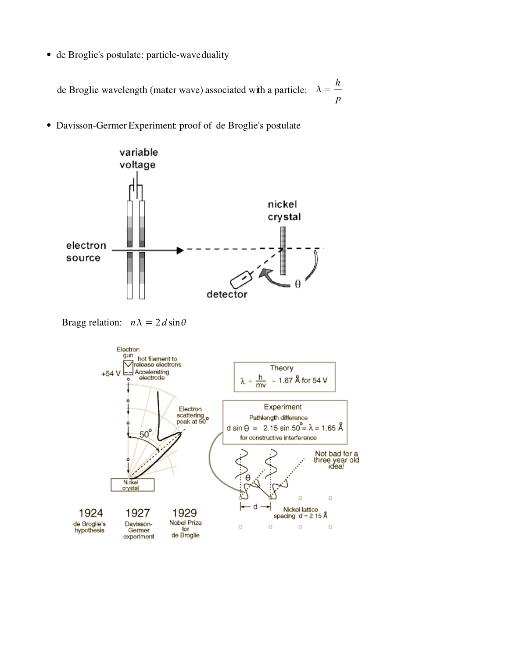• de Broglie's postulate: particle-wave duality

de Broglie wavelength (mater wave) associated with a particle:  $\lambda =$ *h p*

• Davisson-Germer Experiment: proof of de Broglie's postulate